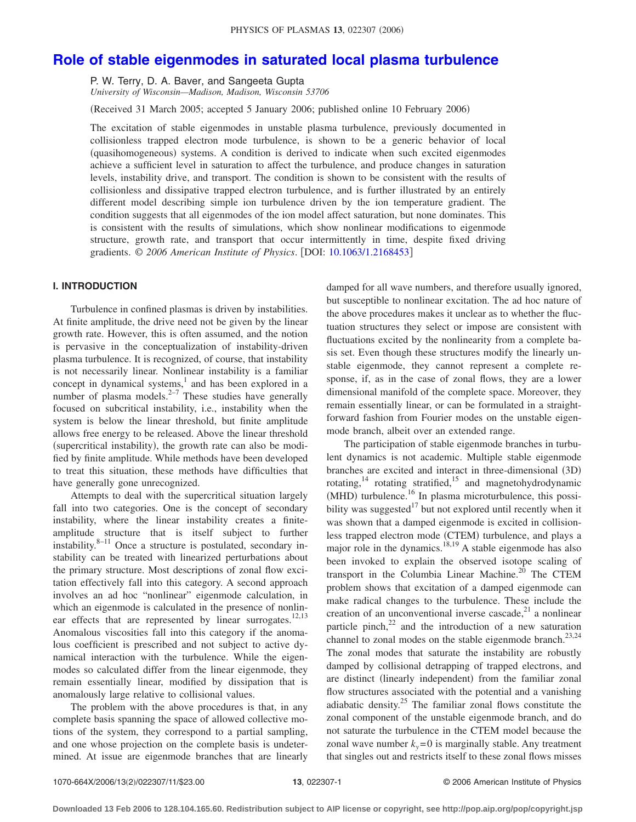# **[Role of stable eigenmodes in saturated local plasma turbulence](http://dx.doi.org/10.1063/1.2168453)**

P. W. Terry, D. A. Baver, and Sangeeta Gupta *University of Wisconsin—Madison, Madison, Wisconsin 53706*

(Received 31 March 2005; accepted 5 January 2006; published online 10 February 2006)

The excitation of stable eigenmodes in unstable plasma turbulence, previously documented in collisionless trapped electron mode turbulence, is shown to be a generic behavior of local (quasihomogeneous) systems. A condition is derived to indicate when such excited eigenmodes achieve a sufficient level in saturation to affect the turbulence, and produce changes in saturation levels, instability drive, and transport. The condition is shown to be consistent with the results of collisionless and dissipative trapped electron turbulence, and is further illustrated by an entirely different model describing simple ion turbulence driven by the ion temperature gradient. The condition suggests that all eigenmodes of the ion model affect saturation, but none dominates. This is consistent with the results of simulations, which show nonlinear modifications to eigenmode structure, growth rate, and transport that occur intermittently in time, despite fixed driving gradients. © *2006 American Institute of Physics*. DOI: [10.1063/1.2168453](http://dx.doi.org/10.1063/1.2168453)

# **I. INTRODUCTION**

Turbulence in confined plasmas is driven by instabilities. At finite amplitude, the drive need not be given by the linear growth rate. However, this is often assumed, and the notion is pervasive in the conceptualization of instability-driven plasma turbulence. It is recognized, of course, that instability is not necessarily linear. Nonlinear instability is a familiar concept in dynamical systems,<sup>1</sup> and has been explored in a number of plasma models. $2-7$  These studies have generally focused on subcritical instability, i.e., instability when the system is below the linear threshold, but finite amplitude allows free energy to be released. Above the linear threshold (supercritical instability), the growth rate can also be modified by finite amplitude. While methods have been developed to treat this situation, these methods have difficulties that have generally gone unrecognized.

Attempts to deal with the supercritical situation largely fall into two categories. One is the concept of secondary instability, where the linear instability creates a finiteamplitude structure that is itself subject to further  $\frac{1}{2}$  instability.<sup>8–11</sup> Once a structure is postulated, secondary instability can be treated with linearized perturbations about the primary structure. Most descriptions of zonal flow excitation effectively fall into this category. A second approach involves an ad hoc "nonlinear" eigenmode calculation, in which an eigenmode is calculated in the presence of nonlinear effects that are represented by linear surrogates.<sup>12,13</sup> Anomalous viscosities fall into this category if the anomalous coefficient is prescribed and not subject to active dynamical interaction with the turbulence. While the eigenmodes so calculated differ from the linear eigenmode, they remain essentially linear, modified by dissipation that is anomalously large relative to collisional values.

The problem with the above procedures is that, in any complete basis spanning the space of allowed collective motions of the system, they correspond to a partial sampling, and one whose projection on the complete basis is undetermined. At issue are eigenmode branches that are linearly damped for all wave numbers, and therefore usually ignored, but susceptible to nonlinear excitation. The ad hoc nature of the above procedures makes it unclear as to whether the fluctuation structures they select or impose are consistent with fluctuations excited by the nonlinearity from a complete basis set. Even though these structures modify the linearly unstable eigenmode, they cannot represent a complete response, if, as in the case of zonal flows, they are a lower dimensional manifold of the complete space. Moreover, they remain essentially linear, or can be formulated in a straightforward fashion from Fourier modes on the unstable eigenmode branch, albeit over an extended range.

The participation of stable eigenmode branches in turbulent dynamics is not academic. Multiple stable eigenmode branches are excited and interact in three-dimensional (3D) rotating, $14$  rotating stratified, $15$  and magnetohydrodynamic (MHD) turbulence.<sup>16</sup> In plasma microturbulence, this possibility was suggested $17$  but not explored until recently when it was shown that a damped eigenmode is excited in collisionless trapped electron mode (CTEM) turbulence, and plays a major role in the dynamics.<sup>18,19</sup> A stable eigenmode has also been invoked to explain the observed isotope scaling of transport in the Columbia Linear Machine.<sup>20</sup> The CTEM problem shows that excitation of a damped eigenmode can make radical changes to the turbulence. These include the creation of an unconventional inverse cascade, $21$  a nonlinear particle pinch,  $22$  and the introduction of a new saturation channel to zonal modes on the stable eigenmode branch.<sup>23,24</sup> The zonal modes that saturate the instability are robustly damped by collisional detrapping of trapped electrons, and are distinct (linearly independent) from the familiar zonal flow structures associated with the potential and a vanishing adiabatic density. $25$  The familiar zonal flows constitute the zonal component of the unstable eigenmode branch, and do not saturate the turbulence in the CTEM model because the zonal wave number  $k_y = 0$  is marginally stable. Any treatment that singles out and restricts itself to these zonal flows misses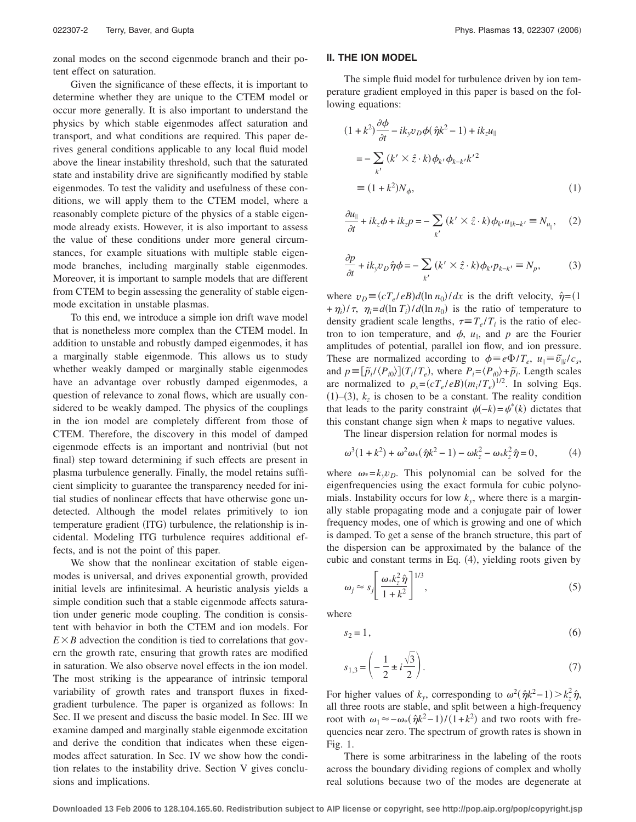zonal modes on the second eigenmode branch and their potent effect on saturation.

Given the significance of these effects, it is important to determine whether they are unique to the CTEM model or occur more generally. It is also important to understand the physics by which stable eigenmodes affect saturation and transport, and what conditions are required. This paper derives general conditions applicable to any local fluid model above the linear instability threshold, such that the saturated state and instability drive are significantly modified by stable eigenmodes. To test the validity and usefulness of these conditions, we will apply them to the CTEM model, where a reasonably complete picture of the physics of a stable eigenmode already exists. However, it is also important to assess the value of these conditions under more general circumstances, for example situations with multiple stable eigenmode branches, including marginally stable eigenmodes. Moreover, it is important to sample models that are different from CTEM to begin assessing the generality of stable eigenmode excitation in unstable plasmas.

To this end, we introduce a simple ion drift wave model that is nonetheless more complex than the CTEM model. In addition to unstable and robustly damped eigenmodes, it has a marginally stable eigenmode. This allows us to study whether weakly damped or marginally stable eigenmodes have an advantage over robustly damped eigenmodes, a question of relevance to zonal flows, which are usually considered to be weakly damped. The physics of the couplings in the ion model are completely different from those of CTEM. Therefore, the discovery in this model of damped eigenmode effects is an important and nontrivial (but not final) step toward determining if such effects are present in plasma turbulence generally. Finally, the model retains sufficient simplicity to guarantee the transparency needed for initial studies of nonlinear effects that have otherwise gone undetected. Although the model relates primitively to ion temperature gradient (ITG) turbulence, the relationship is incidental. Modeling ITG turbulence requires additional effects, and is not the point of this paper.

We show that the nonlinear excitation of stable eigenmodes is universal, and drives exponential growth, provided initial levels are infinitesimal. A heuristic analysis yields a simple condition such that a stable eigenmode affects saturation under generic mode coupling. The condition is consistent with behavior in both the CTEM and ion models. For  $E \times B$  advection the condition is tied to correlations that govern the growth rate, ensuring that growth rates are modified in saturation. We also observe novel effects in the ion model. The most striking is the appearance of intrinsic temporal variability of growth rates and transport fluxes in fixedgradient turbulence. The paper is organized as follows: In Sec. II we present and discuss the basic model. In Sec. III we examine damped and marginally stable eigenmode excitation and derive the condition that indicates when these eigenmodes affect saturation. In Sec. IV we show how the condition relates to the instability drive. Section V gives conclusions and implications.

## **II. THE ION MODEL**

The simple fluid model for turbulence driven by ion temperature gradient employed in this paper is based on the following equations:

$$
(1 + k2) \frac{\partial \phi}{\partial t} - ik_y v_D \phi(\hat{\eta}k^2 - 1) + ik_z u_{\parallel}
$$
  
= 
$$
-\sum_{k'} (k' \times \hat{z} \cdot k) \phi_{k'} \phi_{k-k'} k'^2
$$
  

$$
\equiv (1 + k^2) N_{\phi}, \tag{1}
$$

$$
\frac{\partial u_{\parallel}}{\partial t} + ik_z \phi + ik_z p = -\sum_{k'} \left( k' \times \hat{z} \cdot k \right) \phi_{k'} u_{\parallel k - k'} \equiv N_{u_{\parallel}}, \quad (2)
$$

$$
\frac{\partial p}{\partial t} + ik_y v_D \hat{\eta} \phi = -\sum_{k'} (k' \times \hat{z} \cdot k) \phi_{k'} p_{k-k'} \equiv N_p, \tag{3}
$$

where  $v_D = (cT_e/eB)d(\ln n_0)/dx$  is the drift velocity,  $\hat{\eta} = (1$  $+\eta_i$ )/ $\tau$ ,  $\eta_i = d(\ln T_i)/d(\ln n_0)$  is the ratio of temperature to density gradient scale lengths,  $\tau = T_e/T_i$  is the ratio of electron to ion temperature, and  $\phi$ ,  $u_{\parallel}$ , and p are the Fourier amplitudes of potential, parallel ion flow, and ion pressure. These are normalized according to  $\phi = e\Phi/T_e$ ,  $u_{\parallel} = \tilde{v}_{\parallel i}/c_s$ , and  $p \equiv [\tilde{p}_i / \langle P_{i0} \rangle](T_i / T_e)$ , where  $P_i = \langle P_{i0} \rangle + \tilde{p}_i$ . Length scales are normalized to  $\rho_s = (cT_e/eB)(m_i/T_e)^{1/2}$ . In solving Eqs.  $(1)$ – $(3)$ ,  $k_z$  is chosen to be a constant. The reality condition that leads to the parity constraint  $\psi(-k) = \psi^*(k)$  dictates that this constant change sign when *k* maps to negative values.

The linear dispersion relation for normal modes is

$$
\omega^3(1+k^2) + \omega^2 \omega_* (\hat{\eta}k^2 - 1) - \omega k_z^2 - \omega_* k_z^2 \hat{\eta} = 0, \qquad (4)
$$

where  $\omega_* = k_y v_D$ . This polynomial can be solved for the eigenfrequencies using the exact formula for cubic polynomials. Instability occurs for low  $k_{y}$ , where there is a marginally stable propagating mode and a conjugate pair of lower frequency modes, one of which is growing and one of which is damped. To get a sense of the branch structure, this part of the dispersion can be approximated by the balance of the cubic and constant terms in Eq. (4), yielding roots given by

$$
\omega_j \approx s_j \left[ \frac{\omega_{*} k_z^2 \hat{\eta}}{1 + k^2} \right]^{1/3},\tag{5}
$$

where

$$
s_2 = 1,\tag{6}
$$

$$
s_{1,3} = \left(-\frac{1}{2} \pm i \frac{\sqrt{3}}{2}\right).
$$
 (7)

For higher values of  $k_y$ , corresponding to  $\omega^2(\hat{\eta}k^2 - 1) > k_z^2 \hat{\eta}$ , all three roots are stable, and split between a high-frequency root with  $\omega_1 \approx -\omega_* (\hat{\eta} k^2 - 1)/(1 + k^2)$  and two roots with frequencies near zero. The spectrum of growth rates is shown in Fig. 1.

There is some arbitrariness in the labeling of the roots across the boundary dividing regions of complex and wholly real solutions because two of the modes are degenerate at

**Downloaded 13 Feb 2006 to 128.104.165.60. Redistribution subject to AIP license or copyright, see http://pop.aip.org/pop/copyright.jsp**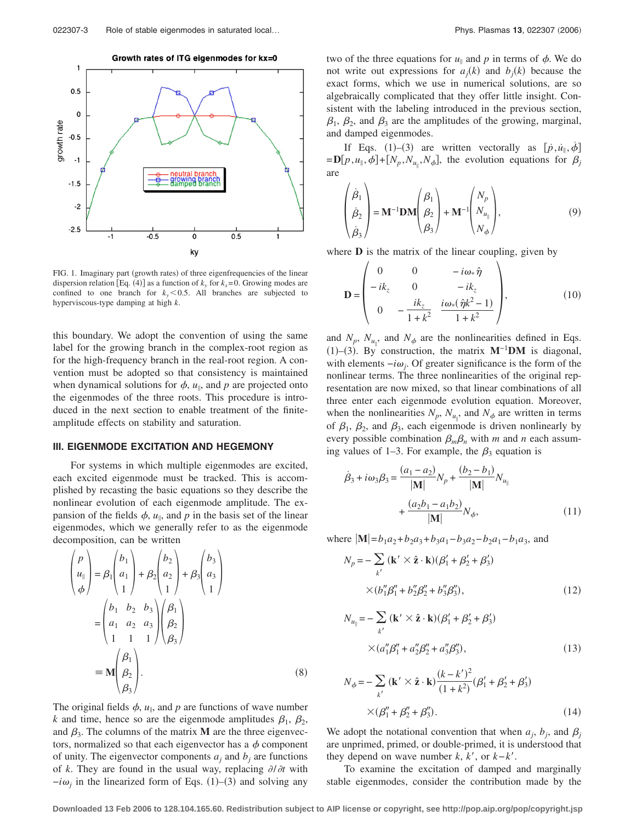

Growth rates of ITG eigenmodes for kx=0

FIG. 1. Imaginary part (growth rates) of three eigenfrequencies of the linear dispersion relation [Eq. (4)] as a function of  $k_y$  for  $k_x=0$ . Growing modes are confined to one branch for  $k_y \le 0.5$ . All branches are subjected to hyperviscous-type damping at high *k*.

this boundary. We adopt the convention of using the same label for the growing branch in the complex-root region as for the high-frequency branch in the real-root region. A convention must be adopted so that consistency is maintained when dynamical solutions for  $\phi$ ,  $u_{\parallel}$ , and  $p$  are projected onto the eigenmodes of the three roots. This procedure is introduced in the next section to enable treatment of the finiteamplitude effects on stability and saturation.

## **III. EIGENMODE EXCITATION AND HEGEMONY**

For systems in which multiple eigenmodes are excited, each excited eigenmode must be tracked. This is accomplished by recasting the basic equations so they describe the nonlinear evolution of each eigenmode amplitude. The expansion of the fields  $\phi$ ,  $u_{\parallel}$ , and p in the basis set of the linear eigenmodes, which we generally refer to as the eigenmode decomposition, can be written

$$
\begin{pmatrix}\nP \\
u_{\parallel} \\
\phi\n\end{pmatrix} = \beta_1 \begin{pmatrix}\nb_1 \\
a_1 \\
1\n\end{pmatrix} + \beta_2 \begin{pmatrix}\nb_2 \\
a_2 \\
1\n\end{pmatrix} + \beta_3 \begin{pmatrix}\nb_3 \\
a_3 \\
1\n\end{pmatrix}
$$

$$
= \begin{pmatrix}\nb_1 & b_2 & b_3 \\
a_1 & a_2 & a_3 \\
1 & 1 & 1\n\end{pmatrix} \begin{pmatrix}\n\beta_1 \\
\beta_2 \\
\beta_3\n\end{pmatrix}
$$

$$
= \mathbf{M} \begin{pmatrix}\n\beta_1 \\
\beta_2 \\
\beta_3\n\end{pmatrix}.
$$
 (8)

The original fields  $\phi$ ,  $u_{\parallel}$ , and p are functions of wave number *k* and time, hence so are the eigenmode amplitudes  $\beta_1$ ,  $\beta_2$ , and  $\beta_3$ . The columns of the matrix **M** are the three eigenvectors, normalized so that each eigenvector has a  $\phi$  component of unity. The eigenvector components  $a_i$  and  $b_j$  are functions of *k*. They are found in the usual way, replacing  $\partial/\partial t$  with  $-i\omega_j$  in the linearized form of Eqs. (1)–(3) and solving any

two of the three equations for  $u_{\parallel}$  and p in terms of  $\phi$ . We do not write out expressions for  $a_j(k)$  and  $b_j(k)$  because the exact forms, which we use in numerical solutions, are so algebraically complicated that they offer little insight. Consistent with the labeling introduced in the previous section,  $\beta_1$ ,  $\beta_2$ , and  $\beta_3$  are the amplitudes of the growing, marginal, and damped eigenmodes.

If Eqs. (1)–(3) are written vectorally as  $[p, u_{\parallel}, \dot{\phi}]$  $= D[p, u_{\parallel}, \phi] + [N_p, N_{u_{\parallel}}, N_{\phi}]$ , the evolution equations for  $\beta_j$ are

$$
\begin{pmatrix} \dot{\beta}_1 \\ \dot{\beta}_2 \\ \dot{\beta}_3 \end{pmatrix} = \mathbf{M}^{-1} \mathbf{D} \mathbf{M} \begin{pmatrix} \beta_1 \\ \beta_2 \\ \beta_3 \end{pmatrix} + \mathbf{M}^{-1} \begin{pmatrix} N_p \\ N_{u_{\parallel}} \\ N_{\phi} \end{pmatrix},
$$
\n(9)

where **D** is the matrix of the linear coupling, given by

$$
\mathbf{D} = \begin{pmatrix} 0 & 0 & -i\omega_* \hat{\eta} \\ -ik_z & 0 & -ik_z \\ 0 & -\frac{ik_z}{1+k^2} & \frac{i\omega_* (\hat{\eta}k^2 - 1)}{1+k^2} \end{pmatrix},
$$
(10)

and  $N_p$ ,  $N_{u_{\parallel}}$ , and  $N_{\phi}$  are the nonlinearities defined in Eqs. (1)–(3). By construction, the matrix **M<sup>-1</sup>DM** is diagonal, with elements  $-i\omega_i$ . Of greater significance is the form of the nonlinear terms. The three nonlinearities of the original representation are now mixed, so that linear combinations of all three enter each eigenmode evolution equation. Moreover, when the nonlinearities  $N_p$ ,  $N_{u_{\parallel}}$ , and  $N_{\phi}$  are written in terms of  $\beta_1$ ,  $\beta_2$ , and  $\beta_3$ , each eigenmode is driven nonlinearly by every possible combination  $\beta_m \beta_n$  with *m* and *n* each assuming values of 1–3. For example, the  $\beta_3$  equation is

$$
\dot{\beta}_3 + i\omega_3 \beta_3 = \frac{(a_1 - a_2)}{|\mathbf{M}|} N_p + \frac{(b_2 - b_1)}{|\mathbf{M}|} N_{u_{\parallel}}
$$

$$
+ \frac{(a_2 b_1 - a_1 b_2)}{|\mathbf{M}|} N_{\phi}, \qquad (11)
$$

where  $|\mathbf{M}| = b_1 a_2 + b_2 a_3 + b_3 a_1 - b_3 a_2 - b_2 a_1 - b_1 a_3$ , and

$$
N_p = -\sum_{k'} (\mathbf{k'} \times \hat{\mathbf{z}} \cdot \mathbf{k}) (\beta'_1 + \beta'_2 + \beta'_3)
$$
  
 
$$
\times (b''_1 \beta''_1 + b''_2 \beta''_2 + b''_3 \beta''_3), \qquad (12)
$$

$$
N_{u_{\parallel}} = -\sum_{k'} (\mathbf{k'} \times \hat{\mathbf{z}} \cdot \mathbf{k}) (\beta'_{1} + \beta'_{2} + \beta'_{3})
$$
  
 
$$
\times (a''_{1} \beta''_{1} + a''_{2} \beta''_{2} + a''_{3} \beta''_{3}),
$$
 (13)

$$
N_{\phi} = -\sum_{k'} (\mathbf{k'} \times \hat{\mathbf{z}} \cdot \mathbf{k}) \frac{(k - k')^{2}}{(1 + k^{2})} (\beta'_{1} + \beta'_{2} + \beta'_{3})
$$
  
×( $\beta''_{1} + \beta''_{2} + \beta''_{3}$ ). (14)

We adopt the notational convention that when  $a_j$ ,  $b_j$ , and  $\beta_j$ are unprimed, primed, or double-primed, it is understood that they depend on wave number  $k$ ,  $k'$ , or  $k-k'$ .

To examine the excitation of damped and marginally stable eigenmodes, consider the contribution made by the

**Downloaded 13 Feb 2006 to 128.104.165.60. Redistribution subject to AIP license or copyright, see http://pop.aip.org/pop/copyright.jsp**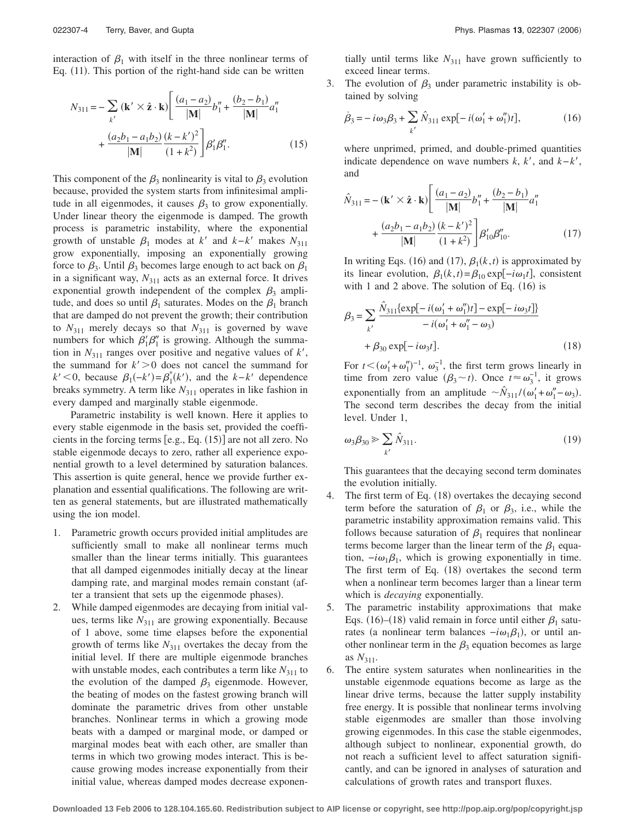interaction of  $\beta_1$  with itself in the three nonlinear terms of Eq. (11). This portion of the right-hand side can be written

$$
N_{311} = -\sum_{k'} (\mathbf{k'} \times \hat{\mathbf{z}} \cdot \mathbf{k}) \left[ \frac{(a_1 - a_2)}{|\mathbf{M}|} b_1'' + \frac{(b_2 - b_1)}{|\mathbf{M}|} a_1'' + \frac{(a_2 b_1 - a_1 b_2)}{|\mathbf{M}|} \frac{(k - k')^2}{(1 + k^2)} \right] \beta_1' \beta_1''.
$$
 (15)

This component of the  $\beta_3$  nonlinearity is vital to  $\beta_3$  evolution because, provided the system starts from infinitesimal amplitude in all eigenmodes, it causes  $\beta_3$  to grow exponentially. Under linear theory the eigenmode is damped. The growth process is parametric instability, where the exponential growth of unstable  $\beta_1$  modes at *k'* and *k*−*k'* makes  $N_{311}$ grow exponentially, imposing an exponentially growing force to  $\beta_3$ . Until  $\beta_3$  becomes large enough to act back on  $\beta_1$ in a significant way,  $N_{311}$  acts as an external force. It drives exponential growth independent of the complex  $\beta_3$  amplitude, and does so until  $\beta_1$  saturates. Modes on the  $\beta_1$  branch that are damped do not prevent the growth; their contribution to  $N_{311}$  merely decays so that  $N_{311}$  is governed by wave numbers for which  $\beta'_1 \beta''_1$  is growing. Although the summation in  $N_{311}$  ranges over positive and negative values of  $k'$ , the summand for  $k' > 0$  does not cancel the summand for  $k'$  < 0, because  $\beta_1(-k') = \beta_1^*(k')$ , and the  $k-k'$  dependence breaks symmetry. A term like  $N_{311}$  operates in like fashion in every damped and marginally stable eigenmode.

Parametric instability is well known. Here it applies to every stable eigenmode in the basis set, provided the coefficients in the forcing terms  $[e.g., Eq. (15)]$  are not all zero. No stable eigenmode decays to zero, rather all experience exponential growth to a level determined by saturation balances. This assertion is quite general, hence we provide further explanation and essential qualifications. The following are written as general statements, but are illustrated mathematically using the ion model.

- 1. Parametric growth occurs provided initial amplitudes are sufficiently small to make all nonlinear terms much smaller than the linear terms initially. This guarantees that all damped eigenmodes initially decay at the linear damping rate, and marginal modes remain constant (after a transient that sets up the eigenmode phases).
- 2. While damped eigenmodes are decaying from initial values, terms like  $N_{311}$  are growing exponentially. Because of 1 above, some time elapses before the exponential growth of terms like  $N_{311}$  overtakes the decay from the initial level. If there are multiple eigenmode branches with unstable modes, each contributes a term like  $N_{311}$  to the evolution of the damped  $\beta_3$  eigenmode. However, the beating of modes on the fastest growing branch will dominate the parametric drives from other unstable branches. Nonlinear terms in which a growing mode beats with a damped or marginal mode, or damped or marginal modes beat with each other, are smaller than terms in which two growing modes interact. This is because growing modes increase exponentially from their initial value, whereas damped modes decrease exponen-

tially until terms like  $N_{311}$  have grown sufficiently to exceed linear terms.

3. The evolution of  $\beta_3$  under parametric instability is obtained by solving

$$
\dot{\beta}_3 = -i\omega_3 \beta_3 + \sum_{k'} \hat{N}_{311} \exp[-i(\omega'_1 + \omega''_1)t],\tag{16}
$$

where unprimed, primed, and double-primed quantities indicate dependence on wave numbers  $k, k',$  and  $k-k'$ , and

$$
\hat{N}_{311} = -(\mathbf{k}' \times \hat{\mathbf{z}} \cdot \mathbf{k}) \left[ \frac{(a_1 - a_2)}{|\mathbf{M}|} b_1'' + \frac{(b_2 - b_1)}{|\mathbf{M}|} a_1'' + \frac{(a_2 b_1 - a_1 b_2)}{|\mathbf{M}|} \frac{(k - k')^2}{(1 + k^2)} \right] \beta'_{10} \beta''_{10}.
$$
\n(17)

In writing Eqs. (16) and (17),  $\beta_1(k,t)$  is approximated by its linear evolution,  $\beta_1(k,t) = \beta_{10} \exp[-i\omega_1 t]$ , consistent with 1 and 2 above. The solution of Eq.  $(16)$  is

$$
\beta_3 = \sum_{k'} \frac{\hat{N}_{311} \{ \exp[-i(\omega_1' + \omega_1'')t] - \exp[-i\omega_3 t] \}}{-i(\omega_1' + \omega_1'' - \omega_3)} + \beta_{30} \exp[-i\omega_3 t].
$$
\n(18)

For  $t < (\omega_1' + \omega_1'')^{-1}$ ,  $\omega_3^{-1}$ , the first term grows linearly in time from zero value  $(\beta_3 \sim t)$ . Once  $t \approx \omega_3^{-1}$ , it grows exponentially from an amplitude  $\sim \hat{N}_{311}/(\omega'_1 + \omega''_1 - \omega_3)$ . The second term describes the decay from the initial level. Under 1,

$$
\omega_3 \beta_{30} \geqslant \sum_{k'} \hat{N}_{311}.\tag{19}
$$

This guarantees that the decaying second term dominates the evolution initially.

- 4. The first term of Eq. (18) overtakes the decaying second term before the saturation of  $\beta_1$  or  $\beta_3$ , i.e., while the parametric instability approximation remains valid. This follows because saturation of  $\beta_1$  requires that nonlinear terms become larger than the linear term of the  $\beta_1$  equation,  $-i\omega_1\beta_1$ , which is growing exponentially in time. The first term of Eq.  $(18)$  overtakes the second term when a nonlinear term becomes larger than a linear term which is *decaying* exponentially.
- 5. The parametric instability approximations that make Eqs. (16)–(18) valid remain in force until either  $\beta_1$  saturates (a nonlinear term balances  $-i\omega_1\beta_1$ ), or until another nonlinear term in the  $\beta_3$  equation becomes as large as  $N_{311}$ .
- 6. The entire system saturates when nonlinearities in the unstable eigenmode equations become as large as the linear drive terms, because the latter supply instability free energy. It is possible that nonlinear terms involving stable eigenmodes are smaller than those involving growing eigenmodes. In this case the stable eigenmodes, although subject to nonlinear, exponential growth, do not reach a sufficient level to affect saturation significantly, and can be ignored in analyses of saturation and calculations of growth rates and transport fluxes.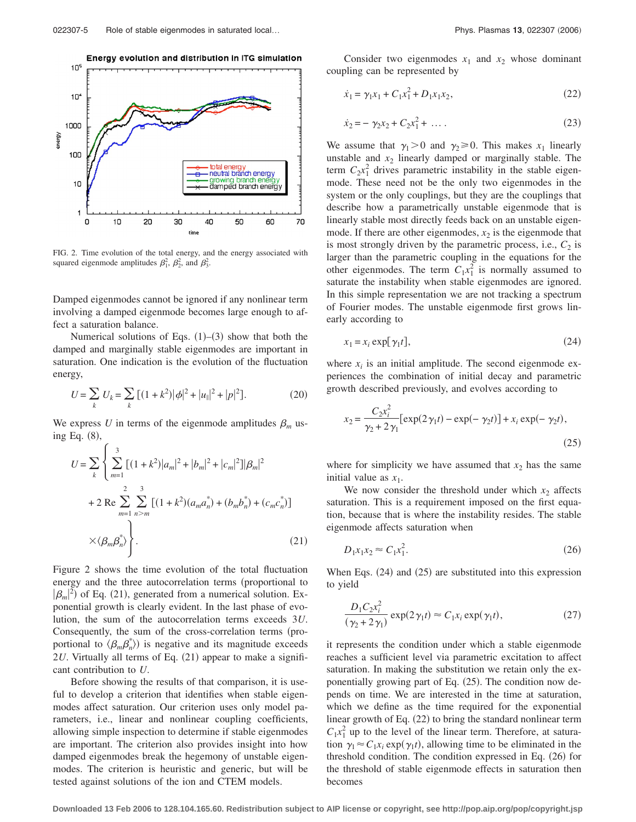

FIG. 2. Time evolution of the total energy, and the energy associated with squared eigenmode amplitudes  $\beta_1^2$ ,  $\beta_2^2$ , and  $\beta_3^2$ .

Damped eigenmodes cannot be ignored if any nonlinear term involving a damped eigenmode becomes large enough to affect a saturation balance.

Numerical solutions of Eqs.  $(1)$ – $(3)$  show that both the damped and marginally stable eigenmodes are important in saturation. One indication is the evolution of the fluctuation energy,

$$
U = \sum_{k} U_{k} = \sum_{k} \left[ (1 + k^{2}) |\phi|^{2} + |u_{\parallel}|^{2} + |p|^{2} \right].
$$
 (20)

We express U in terms of the eigenmode amplitudes  $\beta_m$  using Eq. (8),

$$
U = \sum_{k} \left\{ \sum_{m=1}^{3} \left[ (1 + k^2) |a_m|^2 + |b_m|^2 + |c_m|^2 \right] |\beta_m|^2 + 2 \operatorname{Re} \sum_{m=1}^{2} \sum_{n>m}^{3} \left[ (1 + k^2) (a_m a_n^*) + (b_m b_n^*) + (c_m c_n^*) \right] \right. \\ \times \langle \beta_m \beta_n^* \rangle \right\}.
$$
 (21)

Figure 2 shows the time evolution of the total fluctuation energy and the three autocorrelation terms (proportional to  $|\beta_m|^2$  of Eq. (21), generated from a numerical solution. Exponential growth is clearly evident. In the last phase of evolution, the sum of the autocorrelation terms exceeds 3*U*. Consequently, the sum of the cross-correlation terms (proportional to  $\langle \beta_m \beta_n^* \rangle$  is negative and its magnitude exceeds 2*U*. Virtually all terms of Eq. (21) appear to make a significant contribution to *U*.

Before showing the results of that comparison, it is useful to develop a criterion that identifies when stable eigenmodes affect saturation. Our criterion uses only model parameters, i.e., linear and nonlinear coupling coefficients, allowing simple inspection to determine if stable eigenmodes are important. The criterion also provides insight into how damped eigenmodes break the hegemony of unstable eigenmodes. The criterion is heuristic and generic, but will be tested against solutions of the ion and CTEM models.

Consider two eigenmodes  $x_1$  and  $x_2$  whose dominant coupling can be represented by

$$
\dot{x}_1 = \gamma_1 x_1 + C_1 x_1^2 + D_1 x_1 x_2,\tag{22}
$$

$$
\dot{x}_2 = -\gamma_2 x_2 + C_2 x_1^2 + \dots \tag{23}
$$

We assume that  $\gamma_1 > 0$  and  $\gamma_2 \ge 0$ . This makes  $x_1$  linearly unstable and  $x_2$  linearly damped or marginally stable. The term  $C_2x_1^2$  drives parametric instability in the stable eigenmode. These need not be the only two eigenmodes in the system or the only couplings, but they are the couplings that describe how a parametrically unstable eigenmode that is linearly stable most directly feeds back on an unstable eigenmode. If there are other eigenmodes,  $x_2$  is the eigenmode that is most strongly driven by the parametric process, i.e.,  $C_2$  is larger than the parametric coupling in the equations for the other eigenmodes. The term  $C_1x_1^2$  is normally assumed to saturate the instability when stable eigenmodes are ignored. In this simple representation we are not tracking a spectrum of Fourier modes. The unstable eigenmode first grows linearly according to

$$
x_1 = x_i \exp[\gamma_1 t],\tag{24}
$$

where  $x_i$  is an initial amplitude. The second eigenmode experiences the combination of initial decay and parametric growth described previously, and evolves according to

$$
x_2 = \frac{C_2 x_i^2}{\gamma_2 + 2\gamma_1} [\exp(2\gamma_1 t) - \exp(-\gamma_2 t)] + x_i \exp(-\gamma_2 t),
$$
\n(25)

where for simplicity we have assumed that  $x_2$  has the same initial value as  $x_1$ .

We now consider the threshold under which  $x_2$  affects saturation. This is a requirement imposed on the first equation, because that is where the instability resides. The stable eigenmode affects saturation when

$$
D_1 x_1 x_2 \approx C_1 x_1^2. \tag{26}
$$

When Eqs.  $(24)$  and  $(25)$  are substituted into this expression to yield

$$
\frac{D_1 C_2 x_i^2}{(\gamma_2 + 2\gamma_1)} \exp(2\gamma_1 t) \approx C_1 x_i \exp(\gamma_1 t),\tag{27}
$$

it represents the condition under which a stable eigenmode reaches a sufficient level via parametric excitation to affect saturation. In making the substitution we retain only the exponentially growing part of Eq. (25). The condition now depends on time. We are interested in the time at saturation, which we define as the time required for the exponential linear growth of Eq. (22) to bring the standard nonlinear term  $C_1x_1^2$  up to the level of the linear term. Therefore, at saturation  $\gamma_1 \approx C_1 x_i \exp(\gamma_1 t)$ , allowing time to be eliminated in the threshold condition. The condition expressed in Eq. (26) for the threshold of stable eigenmode effects in saturation then becomes

**Downloaded 13 Feb 2006 to 128.104.165.60. Redistribution subject to AIP license or copyright, see http://pop.aip.org/pop/copyright.jsp**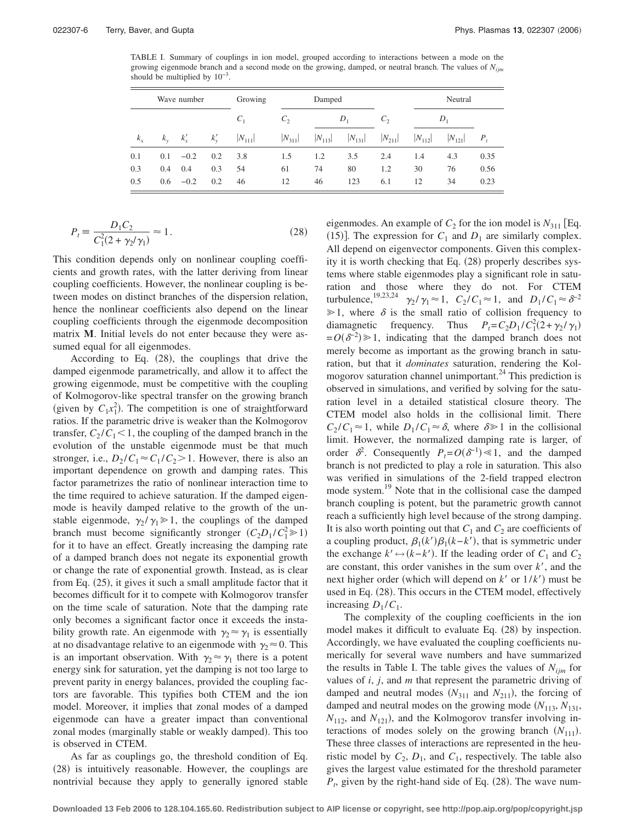TABLE I. Summary of couplings in ion model, grouped according to interactions between a mode on the growing eigenmode branch and a second mode on the growing, damped, or neutral branch. The values of *Nijm* should be multiplied by  $10^{-3}$ .

| Wave number |     |              |        | Growing<br>Damped |             |             |             | Neutral     |             |             |         |
|-------------|-----|--------------|--------|-------------------|-------------|-------------|-------------|-------------|-------------|-------------|---------|
|             |     |              |        | $C_1$             | $C_{2}$     | $D_1$       |             | $C_{2}$     | $D_1$       |             |         |
| $k_x$       |     | $k_v$ $k'_x$ | $k_v'$ | $ N_{111} $       | $ N_{311} $ | $ N_{113} $ | $ N_{131} $ | $ N_{211} $ | $ N_{112} $ | $ N_{121} $ | $P_{t}$ |
| 0.1         | 0.1 | $-0.2$       | 0.2    | 3.8               | 1.5         | 1.2         | 3.5         | 2.4         | 1.4         | 4.3         | 0.35    |
| 0.3         | 0.4 | 0.4          | 0.3    | 54                | 61          | 74          | 80          | 1.2         | 30          | 76          | 0.56    |
| 0.5         |     | $0.6 -0.2$   | 0.2    | 46                | 12          | 46          | 123         | 6.1         | 12          | 34          | 0.23    |

$$
P_t = \frac{D_1 C_2}{C_1^2 (2 + \gamma_2/\gamma_1)} \approx 1.
$$
 (28)

This condition depends only on nonlinear coupling coefficients and growth rates, with the latter deriving from linear coupling coefficients. However, the nonlinear coupling is between modes on distinct branches of the dispersion relation, hence the nonlinear coefficients also depend on the linear coupling coefficients through the eigenmode decomposition matrix **M**. Initial levels do not enter because they were assumed equal for all eigenmodes.

According to Eq.  $(28)$ , the couplings that drive the damped eigenmode parametrically, and allow it to affect the growing eigenmode, must be competitive with the coupling of Kolmogorov-like spectral transfer on the growing branch (given by  $C_1x_1^2$ ). The competition is one of straightforward ratios. If the parametric drive is weaker than the Kolmogorov transfer,  $C_2 / C_1 < 1$ , the coupling of the damped branch in the evolution of the unstable eigenmode must be that much stronger, i.e.,  $D_2 / C_1 \approx C_1 / C_2 > 1$ . However, there is also an important dependence on growth and damping rates. This factor parametrizes the ratio of nonlinear interaction time to the time required to achieve saturation. If the damped eigenmode is heavily damped relative to the growth of the unstable eigenmode,  $\gamma_2 / \gamma_1 \geq 1$ , the couplings of the damped branch must become significantly stronger  $(C_2D_1/C_1^2 \ge 1)$ for it to have an effect. Greatly increasing the damping rate of a damped branch does not negate its exponential growth or change the rate of exponential growth. Instead, as is clear from Eq. (25), it gives it such a small amplitude factor that it becomes difficult for it to compete with Kolmogorov transfer on the time scale of saturation. Note that the damping rate only becomes a significant factor once it exceeds the instability growth rate. An eigenmode with  $\gamma_2 \approx \gamma_1$  is essentially at no disadvantage relative to an eigenmode with  $\gamma_2 \approx 0$ . This is an important observation. With  $\gamma_2 \approx \gamma_1$  there is a potent energy sink for saturation, yet the damping is not too large to prevent parity in energy balances, provided the coupling factors are favorable. This typifies both CTEM and the ion model. Moreover, it implies that zonal modes of a damped eigenmode can have a greater impact than conventional zonal modes (marginally stable or weakly damped). This too is observed in CTEM.

As far as couplings go, the threshold condition of Eq. (28) is intuitively reasonable. However, the couplings are nontrivial because they apply to generally ignored stable eigenmodes. An example of  $C_2$  for the ion model is  $N_{311}$  [Eq. (15)]. The expression for  $C_1$  and  $D_1$  are similarly complex. All depend on eigenvector components. Given this complexity it is worth checking that Eq. (28) properly describes systems where stable eigenmodes play a significant role in saturation and those where they do not. For CTEM turbulence,<sup>19,23,24</sup>  $\gamma_2/\gamma_1 \approx 1$ ,  $C_2/C_1 \approx 1$ , and  $D_1/C_1 \approx \delta^{-2}$  $\geq 1$ , where  $\delta$  is the small ratio of collision frequency to diamagnetic frequency. Thus  $P_t = C_2 D_1 / C_1^2 (2 + \gamma_2 / \gamma_1)$  $= O(\delta^{-2}) \ge 1$ , indicating that the damped branch does not merely become as important as the growing branch in saturation, but that it *dominates* saturation, rendering the Kolmogorov saturation channel unimportant.<sup>24</sup> This prediction is observed in simulations, and verified by solving for the saturation level in a detailed statistical closure theory. The CTEM model also holds in the collisional limit. There  $C_2/C_1 \approx 1$ , while  $D_1/C_1 \approx \delta$ , where  $\delta \ge 1$  in the collisional limit. However, the normalized damping rate is larger, of order  $\delta^2$ . Consequently  $P_t = O(\delta^{-1}) \ll 1$ , and the damped branch is not predicted to play a role in saturation. This also was verified in simulations of the 2-field trapped electron mode system.19 Note that in the collisional case the damped branch coupling is potent, but the parametric growth cannot reach a sufficiently high level because of the strong damping. It is also worth pointing out that  $C_1$  and  $C_2$  are coefficients of a coupling product,  $\beta_1(k')\beta_1(k-k')$ , that is symmetric under the exchange  $k' \leftrightarrow (k-k')$ . If the leading order of  $C_1$  and  $C_2$ are constant, this order vanishes in the sum over  $k'$ , and the next higher order (which will depend on  $k'$  or  $1/k'$ ) must be used in Eq. (28). This occurs in the CTEM model, effectively increasing  $D_1 / C_1$ .

The complexity of the coupling coefficients in the ion model makes it difficult to evaluate Eq. (28) by inspection. Accordingly, we have evaluated the coupling coefficients numerically for several wave numbers and have summarized the results in Table I. The table gives the values of  $N_{ijm}$  for values of *i*, *j*, and *m* that represent the parametric driving of damped and neutral modes  $(N_{311}$  and  $N_{211})$ , the forcing of damped and neutral modes on the growing mode  $(N_{113}, N_{131})$ ,  $N_{112}$ , and  $N_{121}$ ), and the Kolmogorov transfer involving interactions of modes solely on the growing branch  $(N_{111})$ . These three classes of interactions are represented in the heuristic model by  $C_2$ ,  $D_1$ , and  $C_1$ , respectively. The table also gives the largest value estimated for the threshold parameter  $P_t$ , given by the right-hand side of Eq. (28). The wave num-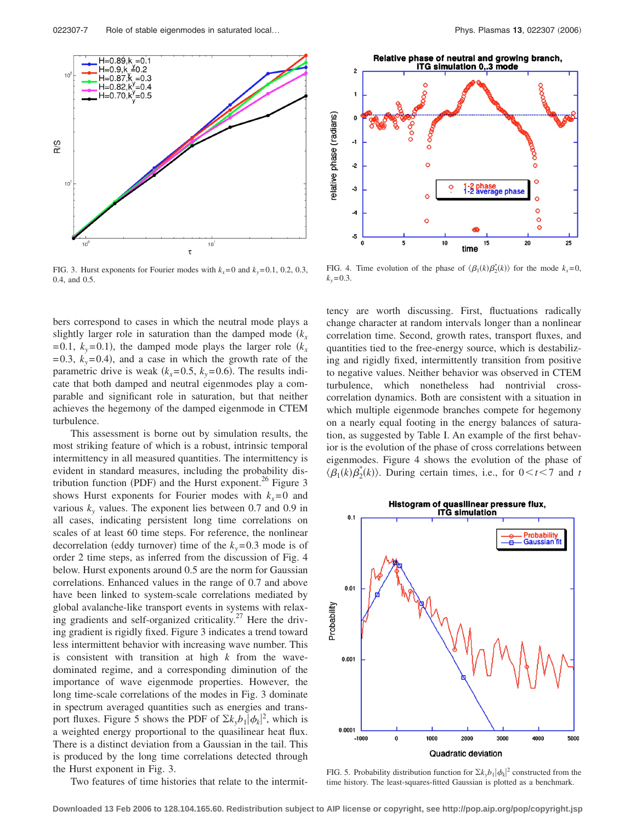

FIG. 3. Hurst exponents for Fourier modes with  $k_x=0$  and  $k_y=0.1$ , 0.2, 0.3, 0.4, and 0.5.

bers correspond to cases in which the neutral mode plays a slightly larger role in saturation than the damped mode  $(k<sub>r</sub>)$  $= 0.1, k_y = 0.1$ , the damped mode plays the larger role  $(k_x)$  $= 0.3$ ,  $k_y = 0.4$ ), and a case in which the growth rate of the parametric drive is weak  $(k_x=0.5, k_y=0.6)$ . The results indicate that both damped and neutral eigenmodes play a comparable and significant role in saturation, but that neither achieves the hegemony of the damped eigenmode in CTEM turbulence.

This assessment is borne out by simulation results, the most striking feature of which is a robust, intrinsic temporal intermittency in all measured quantities. The intermittency is evident in standard measures, including the probability distribution function (PDF) and the Hurst exponent.<sup>26</sup> Figure 3 shows Hurst exponents for Fourier modes with  $k_x=0$  and various  $k_y$  values. The exponent lies between 0.7 and 0.9 in all cases, indicating persistent long time correlations on scales of at least 60 time steps. For reference, the nonlinear decorrelation (eddy turnover) time of the  $k_y$ =0.3 mode is of order 2 time steps, as inferred from the discussion of Fig. 4 below. Hurst exponents around 0.5 are the norm for Gaussian correlations. Enhanced values in the range of 0.7 and above have been linked to system-scale correlations mediated by global avalanche-like transport events in systems with relaxing gradients and self-organized criticality.<sup>27</sup> Here the driving gradient is rigidly fixed. Figure 3 indicates a trend toward less intermittent behavior with increasing wave number. This is consistent with transition at high *k* from the wavedominated regime, and a corresponding diminution of the importance of wave eigenmode properties. However, the long time-scale correlations of the modes in Fig. 3 dominate in spectrum averaged quantities such as energies and transport fluxes. Figure 5 shows the PDF of  $\Sigma k_y b_1 |\phi_k|^2$ , which is a weighted energy proportional to the quasilinear heat flux. There is a distinct deviation from a Gaussian in the tail. This is produced by the long time correlations detected through the Hurst exponent in Fig. 3.

Two features of time histories that relate to the intermit-



FIG. 4. Time evolution of the phase of  $\langle \beta_1(k) \beta_2^*(k) \rangle$  for the mode  $k_x=0$ ,  $k_v = 0.3$ .

tency are worth discussing. First, fluctuations radically change character at random intervals longer than a nonlinear correlation time. Second, growth rates, transport fluxes, and quantities tied to the free-energy source, which is destabilizing and rigidly fixed, intermittently transition from positive to negative values. Neither behavior was observed in CTEM turbulence, which nonetheless had nontrivial crosscorrelation dynamics. Both are consistent with a situation in which multiple eigenmode branches compete for hegemony on a nearly equal footing in the energy balances of saturation, as suggested by Table I. An example of the first behavior is the evolution of the phase of cross correlations between eigenmodes. Figure 4 shows the evolution of the phase of  $\langle \beta_1(k) \beta_2^*(k) \rangle$ . During certain times, i.e., for  $0 < t < 7$  and *t* 



FIG. 5. Probability distribution function for  $\sum k_y b_1 |\phi_k|^2$  constructed from the time history. The least-squares-fitted Gaussian is plotted as a benchmark.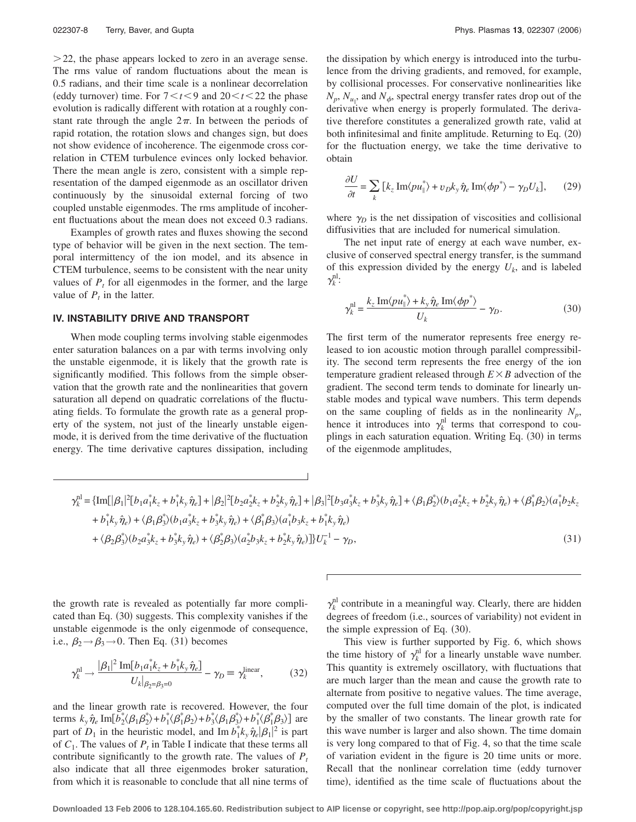$>$  22, the phase appears locked to zero in an average sense. The rms value of random fluctuations about the mean is 0.5 radians, and their time scale is a nonlinear decorrelation (eddy turnover) time. For  $7 < t < 9$  and  $20 < t < 22$  the phase evolution is radically different with rotation at a roughly constant rate through the angle  $2\pi$ . In between the periods of rapid rotation, the rotation slows and changes sign, but does not show evidence of incoherence. The eigenmode cross correlation in CTEM turbulence evinces only locked behavior. There the mean angle is zero, consistent with a simple representation of the damped eigenmode as an oscillator driven continuously by the sinusoidal external forcing of two coupled unstable eigenmodes. The rms amplitude of incoherent fluctuations about the mean does not exceed 0.3 radians.

Examples of growth rates and fluxes showing the second type of behavior will be given in the next section. The temporal intermittency of the ion model, and its absence in CTEM turbulence, seems to be consistent with the near unity values of  $P_t$  for all eigenmodes in the former, and the large value of  $P_t$  in the latter.

# **IV. INSTABILITY DRIVE AND TRANSPORT**

When mode coupling terms involving stable eigenmodes enter saturation balances on a par with terms involving only the unstable eigenmode, it is likely that the growth rate is significantly modified. This follows from the simple observation that the growth rate and the nonlinearities that govern saturation all depend on quadratic correlations of the fluctuating fields. To formulate the growth rate as a general property of the system, not just of the linearly unstable eigenmode, it is derived from the time derivative of the fluctuation energy. The time derivative captures dissipation, including

the dissipation by which energy is introduced into the turbulence from the driving gradients, and removed, for example, by collisional processes. For conservative nonlinearities like  $N_p$ ,  $N_{u_{\parallel}}$ , and  $N_{\phi}$ , spectral energy transfer rates drop out of the derivative when energy is properly formulated. The derivative therefore constitutes a generalized growth rate, valid at both infinitesimal and finite amplitude. Returning to Eq. (20) for the fluctuation energy, we take the time derivative to obtain

$$
\frac{\partial U}{\partial t} = \sum_{k} \left[ k_z \operatorname{Im} \langle p u_{\parallel}^* \rangle + v_D k_y \hat{\eta}_e \operatorname{Im} \langle \phi p^* \rangle - \gamma_D U_k \right], \qquad (29)
$$

where  $\gamma_D$  is the net dissipation of viscosities and collisional diffusivities that are included for numerical simulation.

The net input rate of energy at each wave number, exclusive of conserved spectral energy transfer, is the summand of this expression divided by the energy  $U_k$ , and is labeled  $\gamma_k^{\text{nl}}$ :

$$
\gamma_k^{\text{nl}} = \frac{k_z \operatorname{Im}\langle p u_{\parallel}^* \rangle + k_y \hat{\eta}_e \operatorname{Im}\langle \phi p^* \rangle}{U_k} - \gamma_D. \tag{30}
$$

The first term of the numerator represents free energy released to ion acoustic motion through parallel compressibility. The second term represents the free energy of the ion temperature gradient released through  $E \times B$  advection of the gradient. The second term tends to dominate for linearly unstable modes and typical wave numbers. This term depends on the same coupling of fields as in the nonlinearity  $N_p$ , hence it introduces into  $\gamma_k^{\text{nl}}$  terms that correspond to couplings in each saturation equation. Writing Eq. (30) in terms of the eigenmode amplitudes,

$$
\gamma_k^{\rm nl} = \{ \text{Im}[\vert \beta_1 \vert^2 [b_1 a_1^* k_z + b_1^* k_y \hat{\eta}_e] + \vert \beta_2 \vert^2 [b_2 a_2^* k_z + b_2^* k_y \hat{\eta}_e] + \vert \beta_3 \vert^2 [b_3 a_3^* k_z + b_3^* k_y \hat{\eta}_e] + \langle \beta_1 \beta_2^* \rangle (b_1 a_2^* k_z + b_2^* k_y \hat{\eta}_e) + \langle \beta_1^* \beta_2 \rangle (a_1^* b_2 k_z + b_3^* k_y \hat{\eta}_e) + \langle \beta_1 \beta_3^* \rangle (b_1 a_3^* k_z + b_3^* k_y \hat{\eta}_e) + \langle \beta_1^* \beta_3 \rangle (a_1^* b_3 k_z + b_1^* k_y \hat{\eta}_e) + \langle \beta_2^* \beta_3 \rangle (a_1^* b_3 k_z + b_1^* k_y \hat{\eta}_e) + \langle \beta_3^* \beta_3 \rangle (a_1^* b_3 k_z + b_1^* k_y \hat{\eta}_e) + \langle \beta_4^* \beta_3 \rangle (a_1^* b_3 k_z + b_1^* k_y \hat{\eta}_e) + \langle \beta_5^* \beta_3 \rangle (a_1^* b_3 k_z + b_1^* k_y \hat{\eta}_e) \} \tag{31}
$$

the growth rate is revealed as potentially far more complicated than Eq. (30) suggests. This complexity vanishes if the unstable eigenmode is the only eigenmode of consequence, i.e.,  $\beta_2 \rightarrow \beta_3 \rightarrow 0$ . Then Eq. (31) becomes

$$
\gamma_k^{\rm nl} \to \frac{|\beta_1|^2 \operatorname{Im}[b_1 a_1^* k_z + b_1^* k_y \hat{\eta}_e]}{U_k|_{\beta_2 = \beta_3 = 0}} - \gamma_D \equiv \gamma_k^{\text{linear}},\tag{32}
$$

and the linear growth rate is recovered. However, the four terms  $k_y \hat{\eta}_e \text{Im} [b_2^* (\beta_1 \beta_2^*) + b_1^* (\beta_1^* \beta_2) + b_3^* (\beta_1 \beta_3^*) + b_1^* (\beta_1^* \beta_3) ]$  are part of  $D_1$  in the heuristic model, and Im  $b_1^* k_y \hat{\eta}_e |\beta_1|^2$  is part of  $C_1$ . The values of  $P_t$  in Table I indicate that these terms all contribute significantly to the growth rate. The values of  $P_t$ also indicate that all three eigenmodes broker saturation, from which it is reasonable to conclude that all nine terms of  $\gamma_k^{\text{nl}}$  contribute in a meaningful way. Clearly, there are hidden degrees of freedom (i.e., sources of variability) not evident in the simple expression of Eq.  $(30)$ .

This view is further supported by Fig. 6, which shows the time history of  $\gamma_k^{\text{nl}}$  for a linearly unstable wave number. This quantity is extremely oscillatory, with fluctuations that are much larger than the mean and cause the growth rate to alternate from positive to negative values. The time average, computed over the full time domain of the plot, is indicated by the smaller of two constants. The linear growth rate for this wave number is larger and also shown. The time domain is very long compared to that of Fig. 4, so that the time scale of variation evident in the figure is 20 time units or more. Recall that the nonlinear correlation time (eddy turnover time), identified as the time scale of fluctuations about the

**Downloaded 13 Feb 2006 to 128.104.165.60. Redistribution subject to AIP license or copyright, see http://pop.aip.org/pop/copyright.jsp**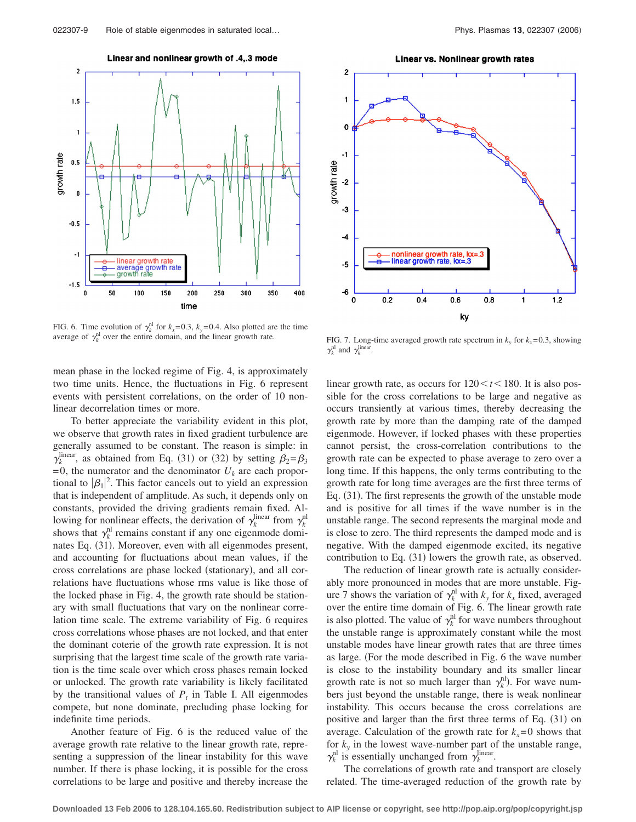Linear and nonlinear growth of .4,.3 mode



FIG. 6. Time evolution of  $\gamma_k^{\text{nl}}$  for  $k_x=0.3$ ,  $k_y=0.4$ . Also plotted are the time average of  $\gamma_k^{\text{nl}}$  over the entire domain, and the linear growth rate.

mean phase in the locked regime of Fig. 4, is approximately two time units. Hence, the fluctuations in Fig. 6 represent events with persistent correlations, on the order of 10 nonlinear decorrelation times or more.

To better appreciate the variability evident in this plot, we observe that growth rates in fixed gradient turbulence are generally assumed to be constant. The reason is simple: in  $\gamma_k^{\text{linear}}$ , as obtained from Eq. (31) or (32) by setting  $\beta_2 = \beta_3$  $= 0$ , the numerator and the denominator  $U_k$  are each proportional to  $|\beta_1|^2$ . This factor cancels out to yield an expression that is independent of amplitude. As such, it depends only on constants, provided the driving gradients remain fixed. Allowing for nonlinear effects, the derivation of  $\gamma_k^{\text{linear}}$  from  $\gamma_k^{\text{nl}}$ shows that  $\gamma_k^{\text{nl}}$  remains constant if any one eigenmode dominates Eq. (31). Moreover, even with all eigenmodes present, and accounting for fluctuations about mean values, if the cross correlations are phase locked (stationary), and all correlations have fluctuations whose rms value is like those of the locked phase in Fig. 4, the growth rate should be stationary with small fluctuations that vary on the nonlinear correlation time scale. The extreme variability of Fig. 6 requires cross correlations whose phases are not locked, and that enter the dominant coterie of the growth rate expression. It is not surprising that the largest time scale of the growth rate variation is the time scale over which cross phases remain locked or unlocked. The growth rate variability is likely facilitated by the transitional values of  $P_t$  in Table I. All eigenmodes compete, but none dominate, precluding phase locking for indefinite time periods.

Another feature of Fig. 6 is the reduced value of the average growth rate relative to the linear growth rate, representing a suppression of the linear instability for this wave number. If there is phase locking, it is possible for the cross correlations to be large and positive and thereby increase the

Linear vs. Nonlinear growth rates



FIG. 7. Long-time averaged growth rate spectrum in  $k_y$  for  $k_x= 0.3$ , showing  $\gamma_k^{\text{nl}}$  and  $\gamma_k^{\text{linear}}$ .

linear growth rate, as occurs for  $120 \lt t \lt 180$ . It is also possible for the cross correlations to be large and negative as occurs transiently at various times, thereby decreasing the growth rate by more than the damping rate of the damped eigenmode. However, if locked phases with these properties cannot persist, the cross-correlation contributions to the growth rate can be expected to phase average to zero over a long time. If this happens, the only terms contributing to the growth rate for long time averages are the first three terms of Eq. (31). The first represents the growth of the unstable mode and is positive for all times if the wave number is in the unstable range. The second represents the marginal mode and is close to zero. The third represents the damped mode and is negative. With the damped eigenmode excited, its negative contribution to Eq. (31) lowers the growth rate, as observed.

The reduction of linear growth rate is actually considerably more pronounced in modes that are more unstable. Figure 7 shows the variation of  $\gamma_k^{\text{nl}}$  with  $k_y$  for  $k_x$  fixed, averaged over the entire time domain of Fig. 6. The linear growth rate is also plotted. The value of  $\gamma_k^{\text{nl}}$  for wave numbers throughout the unstable range is approximately constant while the most unstable modes have linear growth rates that are three times as large. (For the mode described in Fig. 6 the wave number is close to the instability boundary and its smaller linear growth rate is not so much larger than  $\gamma_k^{\text{nl}}$ ). For wave numbers just beyond the unstable range, there is weak nonlinear instability. This occurs because the cross correlations are positive and larger than the first three terms of Eq. (31) on average. Calculation of the growth rate for  $k_x = 0$  shows that for  $k<sub>y</sub>$  in the lowest wave-number part of the unstable range,  $\gamma_k^{\text{nl}}$  is essentially unchanged from  $\gamma_k^{\text{linear}}$ .

The correlations of growth rate and transport are closely related. The time-averaged reduction of the growth rate by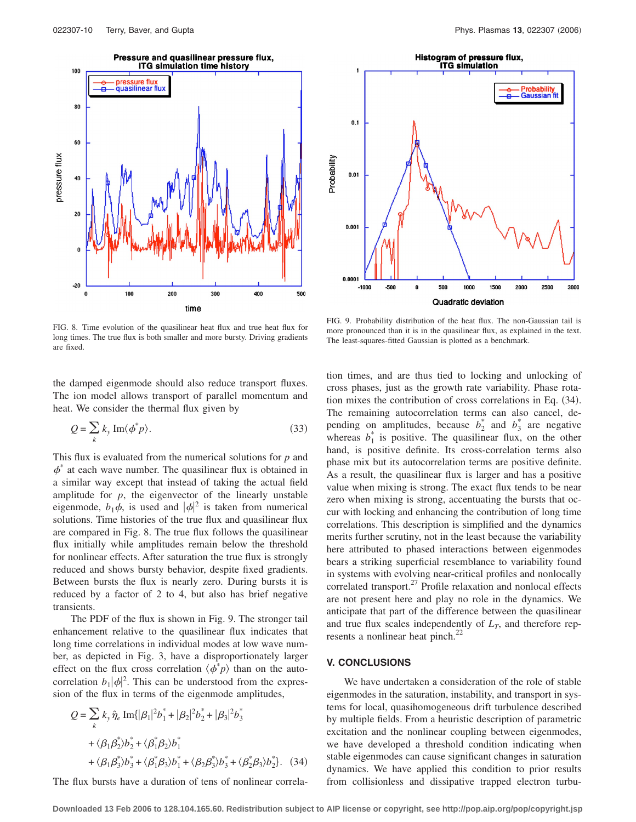

Histogram of pressure flux, **ITG simulation Probability**<br>Gaussian  $0.1$ Probability  $0.01$  $0.001$  $0.000$  $-1000$ -500 0 500 1000 1500 2000 2500 3000 Quadratic deviation

FIG. 8. Time evolution of the quasilinear heat flux and true heat flux for long times. The true flux is both smaller and more bursty. Driving gradients are fixed.

the damped eigenmode should also reduce transport fluxes. The ion model allows transport of parallel momentum and heat. We consider the thermal flux given by

$$
Q = \sum_{k} k_{y} \operatorname{Im} \langle \phi^* p \rangle.
$$
 (33)

This flux is evaluated from the numerical solutions for *p* and  $\phi^*$  at each wave number. The quasilinear flux is obtained in a similar way except that instead of taking the actual field amplitude for  $p$ , the eigenvector of the linearly unstable eigenmode,  $b_1\phi$ , is used and  $|\phi|^2$  is taken from numerical solutions. Time histories of the true flux and quasilinear flux are compared in Fig. 8. The true flux follows the quasilinear flux initially while amplitudes remain below the threshold for nonlinear effects. After saturation the true flux is strongly reduced and shows bursty behavior, despite fixed gradients. Between bursts the flux is nearly zero. During bursts it is reduced by a factor of 2 to 4, but also has brief negative transients.

The PDF of the flux is shown in Fig. 9. The stronger tail enhancement relative to the quasilinear flux indicates that long time correlations in individual modes at low wave number, as depicted in Fig. 3, have a disproportionately larger effect on the flux cross correlation  $\langle \phi^* p \rangle$  than on the autocorrelation  $b_1|\phi|^2$ . This can be understood from the expression of the flux in terms of the eigenmode amplitudes,

$$
Q = \sum_{k} k_{y} \hat{\eta}_{e} \operatorname{Im} \{ |\beta_{1}|^{2} b_{1}^{*} + |\beta_{2}|^{2} b_{2}^{*} + |\beta_{3}|^{2} b_{3}^{*} + \langle \beta_{1} \beta_{2}^{*} \rangle b_{2}^{*} + \langle \beta_{1}^{*} \beta_{2}^{*} \rangle b_{1}^{*} + \langle \beta_{1} \beta_{3}^{*} \rangle b_{3}^{*} + \langle \beta_{1}^{*} \beta_{3} \rangle b_{1}^{*} + \langle \beta_{2} \beta_{3}^{*} \rangle b_{3}^{*} + \langle \beta_{2}^{*} \beta_{3} \rangle b_{2}^{*} \}.
$$
 (34)

The flux bursts have a duration of tens of nonlinear correla-

FIG. 9. Probability distribution of the heat flux. The non-Gaussian tail is more pronounced than it is in the quasilinear flux, as explained in the text. The least-squares-fitted Gaussian is plotted as a benchmark.

tion times, and are thus tied to locking and unlocking of cross phases, just as the growth rate variability. Phase rotation mixes the contribution of cross correlations in Eq. (34). The remaining autocorrelation terms can also cancel, depending on amplitudes, because  $b_2^*$  and  $b_3^*$  are negative whereas  $b_1^*$  is positive. The quasilinear flux, on the other hand, is positive definite. Its cross-correlation terms also phase mix but its autocorrelation terms are positive definite. As a result, the quasilinear flux is larger and has a positive value when mixing is strong. The exact flux tends to be near zero when mixing is strong, accentuating the bursts that occur with locking and enhancing the contribution of long time correlations. This description is simplified and the dynamics merits further scrutiny, not in the least because the variability here attributed to phased interactions between eigenmodes bears a striking superficial resemblance to variability found in systems with evolving near-critical profiles and nonlocally correlated transport.<sup>27</sup> Profile relaxation and nonlocal effects are not present here and play no role in the dynamics. We anticipate that part of the difference between the quasilinear and true flux scales independently of  $L_T$ , and therefore represents a nonlinear heat pinch. $^{22}$ 

## **V. CONCLUSIONS**

We have undertaken a consideration of the role of stable eigenmodes in the saturation, instability, and transport in systems for local, quasihomogeneous drift turbulence described by multiple fields. From a heuristic description of parametric excitation and the nonlinear coupling between eigenmodes, we have developed a threshold condition indicating when stable eigenmodes can cause significant changes in saturation dynamics. We have applied this condition to prior results from collisionless and dissipative trapped electron turbu-

**Downloaded 13 Feb 2006 to 128.104.165.60. Redistribution subject to AIP license or copyright, see http://pop.aip.org/pop/copyright.jsp**